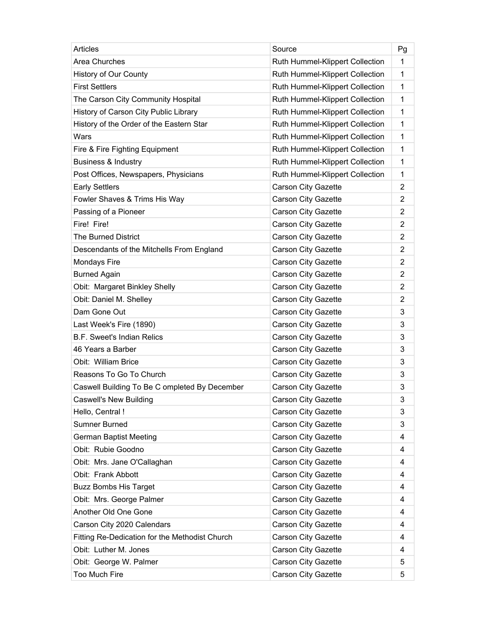| <b>Articles</b>                                | Source                          | Pg             |
|------------------------------------------------|---------------------------------|----------------|
| <b>Area Churches</b>                           | Ruth Hummel-Klippert Collection | 1              |
| History of Our County                          | Ruth Hummel-Klippert Collection | 1              |
| <b>First Settlers</b>                          | Ruth Hummel-Klippert Collection | 1              |
| The Carson City Community Hospital             | Ruth Hummel-Klippert Collection | 1              |
| History of Carson City Public Library          | Ruth Hummel-Klippert Collection | $\mathbf{1}$   |
| History of the Order of the Eastern Star       | Ruth Hummel-Klippert Collection | $\mathbf 1$    |
| Wars                                           | Ruth Hummel-Klippert Collection | 1              |
| Fire & Fire Fighting Equipment                 | Ruth Hummel-Klippert Collection | 1              |
| <b>Business &amp; Industry</b>                 | Ruth Hummel-Klippert Collection | 1              |
| Post Offices, Newspapers, Physicians           | Ruth Hummel-Klippert Collection | $\mathbf 1$    |
| <b>Early Settlers</b>                          | <b>Carson City Gazette</b>      | $\overline{2}$ |
| Fowler Shaves & Trims His Way                  | <b>Carson City Gazette</b>      | $\overline{2}$ |
| Passing of a Pioneer                           | <b>Carson City Gazette</b>      | $\overline{2}$ |
| Fire! Fire!                                    | <b>Carson City Gazette</b>      | $\overline{2}$ |
| <b>The Burned District</b>                     | <b>Carson City Gazette</b>      | $\overline{2}$ |
| Descendants of the Mitchells From England      | <b>Carson City Gazette</b>      | $\overline{2}$ |
| Mondays Fire                                   | <b>Carson City Gazette</b>      | $\overline{2}$ |
| <b>Burned Again</b>                            | <b>Carson City Gazette</b>      | $\overline{2}$ |
| Obit: Margaret Binkley Shelly                  | <b>Carson City Gazette</b>      | $\overline{2}$ |
| Obit: Daniel M. Shelley                        | <b>Carson City Gazette</b>      | $\overline{2}$ |
| Dam Gone Out                                   | <b>Carson City Gazette</b>      | 3              |
| Last Week's Fire (1890)                        | <b>Carson City Gazette</b>      | 3              |
| <b>B.F. Sweet's Indian Relics</b>              | <b>Carson City Gazette</b>      | 3              |
| 46 Years a Barber                              | <b>Carson City Gazette</b>      | 3              |
| Obit: William Brice                            | Carson City Gazette             | 3              |
| Reasons To Go To Church                        | Carson City Gazette             | 3              |
| Caswell Building To Be C ompleted By December  | <b>Carson City Gazette</b>      | 3              |
| <b>Caswell's New Building</b>                  | Carson City Gazette             | 3              |
| Hello, Central!                                | Carson City Gazette             | 3              |
| Sumner Burned                                  | Carson City Gazette             | 3              |
| German Baptist Meeting                         | Carson City Gazette             | 4              |
| Obit: Rubie Goodno                             | Carson City Gazette             | 4              |
| Obit: Mrs. Jane O'Callaghan                    | Carson City Gazette             | 4              |
| Obit: Frank Abbott                             | Carson City Gazette             | 4              |
| <b>Buzz Bombs His Target</b>                   | Carson City Gazette             | 4              |
| Obit: Mrs. George Palmer                       | <b>Carson City Gazette</b>      | 4              |
| Another Old One Gone                           | Carson City Gazette             | 4              |
| Carson City 2020 Calendars                     | Carson City Gazette             | 4              |
| Fitting Re-Dedication for the Methodist Church | Carson City Gazette             | 4              |
| Obit: Luther M. Jones                          | Carson City Gazette             | 4              |
| Obit: George W. Palmer                         | Carson City Gazette             | 5              |
| Too Much Fire                                  | Carson City Gazette             | 5              |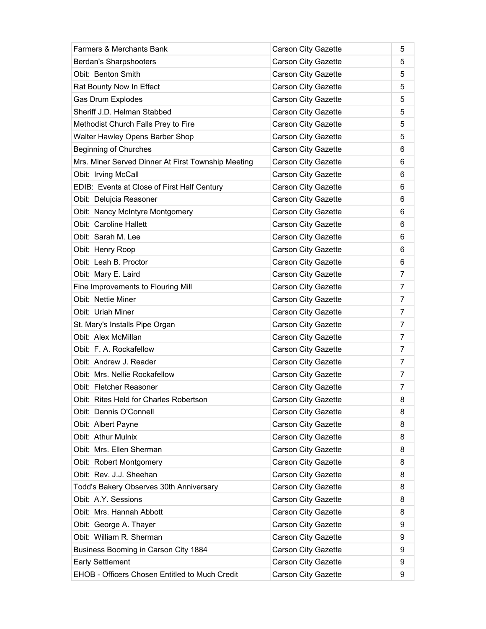| <b>Farmers &amp; Merchants Bank</b>                | <b>Carson City Gazette</b> | 5              |
|----------------------------------------------------|----------------------------|----------------|
| Berdan's Sharpshooters                             | Carson City Gazette        | 5              |
| Obit: Benton Smith                                 | Carson City Gazette        | 5              |
| Rat Bounty Now In Effect                           | <b>Carson City Gazette</b> | 5              |
| Gas Drum Explodes                                  | Carson City Gazette        | 5              |
| Sheriff J.D. Helman Stabbed                        | Carson City Gazette        | 5              |
| Methodist Church Falls Prey to Fire                | <b>Carson City Gazette</b> | 5              |
| Walter Hawley Opens Barber Shop                    | Carson City Gazette        | 5              |
| <b>Beginning of Churches</b>                       | <b>Carson City Gazette</b> | 6              |
| Mrs. Miner Served Dinner At First Township Meeting | Carson City Gazette        | 6              |
| Obit: Irving McCall                                | Carson City Gazette        | 6              |
| EDIB: Events at Close of First Half Century        | Carson City Gazette        | 6              |
| Obit: Delujcia Reasoner                            | Carson City Gazette        | 6              |
| Obit: Nancy McIntyre Montgomery                    | Carson City Gazette        | 6              |
| <b>Obit: Caroline Hallett</b>                      | <b>Carson City Gazette</b> | 6              |
| Obit: Sarah M. Lee                                 | Carson City Gazette        | 6              |
| Obit: Henry Roop                                   | <b>Carson City Gazette</b> | 6              |
| Obit: Leah B. Proctor                              | Carson City Gazette        | 6              |
| Obit: Mary E. Laird                                | Carson City Gazette        | $\overline{7}$ |
| Fine Improvements to Flouring Mill                 | Carson City Gazette        | $\overline{7}$ |
| <b>Obit: Nettie Miner</b>                          | Carson City Gazette        | $\overline{7}$ |
| Obit: Uriah Miner                                  | <b>Carson City Gazette</b> | $\overline{7}$ |
| St. Mary's Installs Pipe Organ                     | <b>Carson City Gazette</b> | $\overline{7}$ |
| Obit: Alex McMillan                                | Carson City Gazette        | $\overline{7}$ |
| Obit: F. A. Rockafellow                            | <b>Carson City Gazette</b> | $\overline{7}$ |
| Obit: Andrew J. Reader                             | Carson City Gazette        | $\overline{7}$ |
| Obit: Mrs. Nellie Rockafellow                      | Carson City Gazette        | 7              |
| Obit: Fletcher Reasoner                            | <b>Carson City Gazette</b> | 7              |
| Obit: Rites Held for Charles Robertson             | Carson City Gazette        | 8              |
| Obit: Dennis O'Connell                             | Carson City Gazette        | 8              |
| Obit: Albert Payne                                 | Carson City Gazette        | 8              |
| Obit: Athur Mulnix                                 | Carson City Gazette        | 8              |
| Obit: Mrs. Ellen Sherman                           | Carson City Gazette        | 8              |
| Obit: Robert Montgomery                            | Carson City Gazette        | 8              |
| Obit: Rev. J.J. Sheehan                            | Carson City Gazette        | 8              |
| Todd's Bakery Observes 30th Anniversary            | Carson City Gazette        | 8              |
| Obit: A.Y. Sessions                                | Carson City Gazette        | 8              |
| Obit: Mrs. Hannah Abbott                           | Carson City Gazette        | 8              |
| Obit: George A. Thayer                             | Carson City Gazette        | 9              |
| Obit: William R. Sherman                           | Carson City Gazette        | 9              |
| Business Booming in Carson City 1884               | <b>Carson City Gazette</b> | 9              |
| Early Settlement                                   | Carson City Gazette        | 9              |
| EHOB - Officers Chosen Entitled to Much Credit     | Carson City Gazette        | 9              |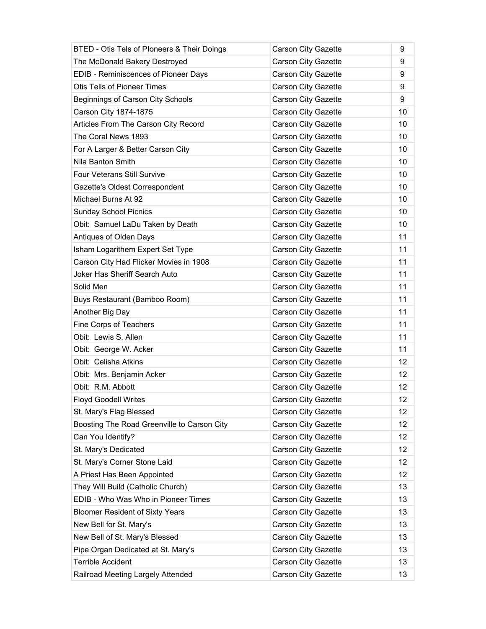| BTED - Otis Tels of Ploneers & Their Doings | <b>Carson City Gazette</b> | 9               |
|---------------------------------------------|----------------------------|-----------------|
| The McDonald Bakery Destroyed               | <b>Carson City Gazette</b> | 9               |
| EDIB - Reminiscences of Pioneer Days        | Carson City Gazette        | 9               |
| <b>Otis Tells of Pioneer Times</b>          | Carson City Gazette        | 9               |
| Beginnings of Carson City Schools           | Carson City Gazette        | 9               |
| Carson City 1874-1875                       | <b>Carson City Gazette</b> | 10              |
| Articles From The Carson City Record        | Carson City Gazette        | 10              |
| The Coral News 1893                         | <b>Carson City Gazette</b> | 10              |
| For A Larger & Better Carson City           | <b>Carson City Gazette</b> | 10              |
| Nila Banton Smith                           | Carson City Gazette        | 10              |
| <b>Four Veterans Still Survive</b>          | Carson City Gazette        | 10              |
| Gazette's Oldest Correspondent              | <b>Carson City Gazette</b> | 10              |
| Michael Burns At 92                         | Carson City Gazette        | 10              |
| <b>Sunday School Picnics</b>                | <b>Carson City Gazette</b> | 10              |
| Obit: Samuel LaDu Taken by Death            | <b>Carson City Gazette</b> | 10              |
| Antiques of Olden Days                      | Carson City Gazette        | 11              |
| Isham Logarithem Expert Set Type            | <b>Carson City Gazette</b> | 11              |
| Carson City Had Flicker Movies in 1908      | <b>Carson City Gazette</b> | 11              |
| Joker Has Sheriff Search Auto               | Carson City Gazette        | 11              |
| Solid Men                                   | Carson City Gazette        | 11              |
| Buys Restaurant (Bamboo Room)               | Carson City Gazette        | 11              |
| Another Big Day                             | <b>Carson City Gazette</b> | 11              |
| Fine Corps of Teachers                      | <b>Carson City Gazette</b> | 11              |
| Obit: Lewis S. Allen                        | Carson City Gazette        | 11              |
| Obit: George W. Acker                       | <b>Carson City Gazette</b> | 11              |
| Obit: Celisha Atkins                        | <b>Carson City Gazette</b> | 12              |
| Obit: Mrs. Benjamin Acker                   | <b>Carson City Gazette</b> | 12              |
| Obit: R.M. Abbott                           | Carson City Gazette        | 12              |
| <b>Floyd Goodell Writes</b>                 | Carson City Gazette        | 12              |
| St. Mary's Flag Blessed                     | <b>Carson City Gazette</b> | 12              |
| Boosting The Road Greenville to Carson City | Carson City Gazette        | 12 <sup>°</sup> |
| Can You Identify?                           | Carson City Gazette        | 12              |
| St. Mary's Dedicated                        | Carson City Gazette        | 12              |
| St. Mary's Corner Stone Laid                | Carson City Gazette        | 12              |
| A Priest Has Been Appointed                 | Carson City Gazette        | 12              |
| They Will Build (Catholic Church)           | Carson City Gazette        | 13              |
| EDIB - Who Was Who in Pioneer Times         | Carson City Gazette        | 13              |
| <b>Bloomer Resident of Sixty Years</b>      | Carson City Gazette        | 13              |
| New Bell for St. Mary's                     | Carson City Gazette        | 13              |
| New Bell of St. Mary's Blessed              | Carson City Gazette        | 13              |
| Pipe Organ Dedicated at St. Mary's          | Carson City Gazette        | 13              |
| <b>Terrible Accident</b>                    | Carson City Gazette        | 13              |
| Railroad Meeting Largely Attended           | Carson City Gazette        | 13              |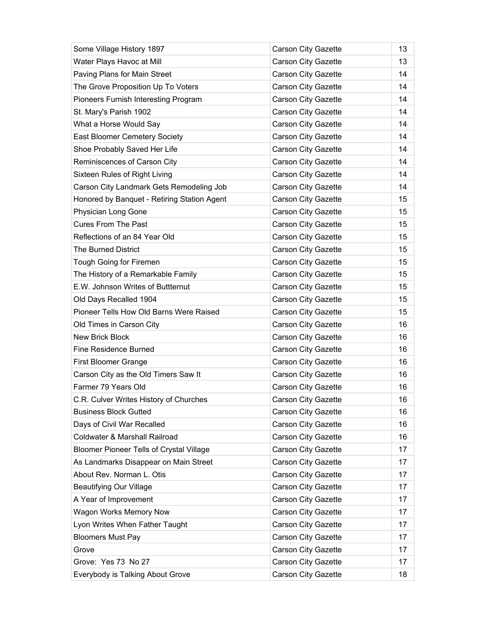| Some Village History 1897                   | <b>Carson City Gazette</b> | 13 |
|---------------------------------------------|----------------------------|----|
| Water Plays Havoc at Mill                   | Carson City Gazette        | 13 |
| Paving Plans for Main Street                | Carson City Gazette        | 14 |
| The Grove Proposition Up To Voters          | <b>Carson City Gazette</b> | 14 |
| Pioneers Furnish Interesting Program        | Carson City Gazette        | 14 |
| St. Mary's Parish 1902                      | Carson City Gazette        | 14 |
| What a Horse Would Say                      | <b>Carson City Gazette</b> | 14 |
| East Bloomer Cemetery Society               | <b>Carson City Gazette</b> | 14 |
| Shoe Probably Saved Her Life                | <b>Carson City Gazette</b> | 14 |
| Reminiscences of Carson City                | Carson City Gazette        | 14 |
| Sixteen Rules of Right Living               | Carson City Gazette        | 14 |
| Carson City Landmark Gets Remodeling Job    | <b>Carson City Gazette</b> | 14 |
| Honored by Banquet - Retiring Station Agent | Carson City Gazette        | 15 |
| Physician Long Gone                         | <b>Carson City Gazette</b> | 15 |
| <b>Cures From The Past</b>                  | Carson City Gazette        | 15 |
| Reflections of an 84 Year Old               | Carson City Gazette        | 15 |
| The Burned District                         | <b>Carson City Gazette</b> | 15 |
| Tough Going for Firemen                     | <b>Carson City Gazette</b> | 15 |
| The History of a Remarkable Family          | Carson City Gazette        | 15 |
| E.W. Johnson Writes of Buttternut           | <b>Carson City Gazette</b> | 15 |
| Old Days Recalled 1904                      | Carson City Gazette        | 15 |
| Pioneer Tells How Old Barns Were Raised     | Carson City Gazette        | 15 |
| Old Times in Carson City                    | <b>Carson City Gazette</b> | 16 |
| <b>New Brick Block</b>                      | Carson City Gazette        | 16 |
| Fine Residence Burned                       | <b>Carson City Gazette</b> | 16 |
| <b>First Bloomer Grange</b>                 | <b>Carson City Gazette</b> | 16 |
| Carson City as the Old Timers Saw It        | Carson City Gazette        | 16 |
| Farmer 79 Years Old                         | <b>Carson City Gazette</b> | 16 |
| C.R. Culver Writes History of Churches      | Carson City Gazette        | 16 |
| <b>Business Block Gutted</b>                | Carson City Gazette        | 16 |
| Days of Civil War Recalled                  | Carson City Gazette        | 16 |
| Coldwater & Marshall Railroad               | Carson City Gazette        | 16 |
| Bloomer Pioneer Tells of Crystal Village    | Carson City Gazette        | 17 |
| As Landmarks Disappear on Main Street       | <b>Carson City Gazette</b> | 17 |
| About Rev. Norman L. Otis                   | Carson City Gazette        | 17 |
| <b>Beautifying Our Village</b>              | Carson City Gazette        | 17 |
| A Year of Improvement                       | Carson City Gazette        | 17 |
| Wagon Works Memory Now                      | Carson City Gazette        | 17 |
| Lyon Writes When Father Taught              | Carson City Gazette        | 17 |
| <b>Bloomers Must Pay</b>                    | Carson City Gazette        | 17 |
| Grove                                       | Carson City Gazette        | 17 |
| Grove: Yes 73 No 27                         | Carson City Gazette        | 17 |
| Everybody is Talking About Grove            | Carson City Gazette        | 18 |